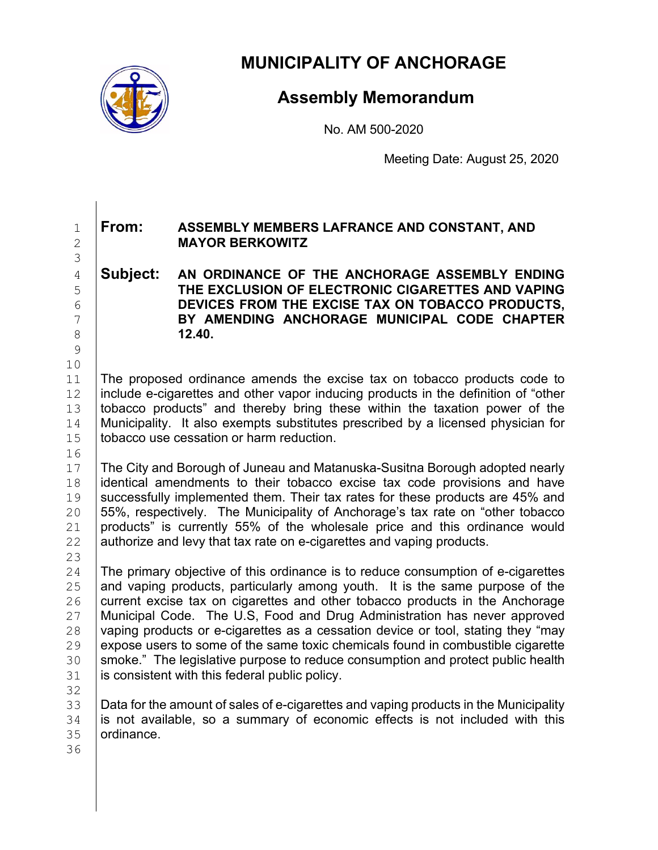

**MUNICIPALITY OF ANCHORAGE**

## **Assembly Memorandum**

No. AM 500-2020

Meeting Date: August 25, 2020

## 1 **From: ASSEMBLY MEMBERS LAFRANCE AND CONSTANT, AND** 2 **MAYOR BERKOWITZ**

## 4 **Subject: AN ORDINANCE OF THE ANCHORAGE ASSEMBLY ENDING**  5 **THE EXCLUSION OF ELECTRONIC CIGARETTES AND VAPING**  6 **DEVICES FROM THE EXCISE TAX ON TOBACCO PRODUCTS,**  7 **BY AMENDING ANCHORAGE MUNICIPAL CODE CHAPTER**  8 **12.40.**

10<br>11 The proposed ordinance amends the excise tax on tobacco products code to  $\frac{12}{13}$  include e-cigarettes and other vapor inducing products in the definition of "other  $\frac{13}{13}$  tobacco products" and thereby bring these within the taxation power of the 13 tobacco products" and thereby bring these within the taxation power of the  $14$  Municipality. It also exempts substitutes prescribed by a licensed physician for 14 | Municipality. It also exempts substitutes prescribed by a licensed physician for 15 | tobacco use cessation or harm reduction. tobacco use cessation or harm reduction.

 $\begin{array}{c} 16 \\ 17 \end{array}$ 17 The City and Borough of Juneau and Matanuska-Susitna Borough adopted nearly 18 identical amendments to their tobacco excise tax code provisions and have<br>19 successfully implemented them. Their tax rates for these products are 45% and 19 Successfully implemented them. Their tax rates for these products are 45% and<br>20 55%, respectively. The Municipality of Anchorage's tax rate on "other tobacco 20 55%, respectively. The Municipality of Anchorage's tax rate on "other tobacco"<br>21 products" is currently 55% of the wholesale price and this ordinance would 21 products" is currently 55% of the wholesale price and this ordinance would  $22$  authorize and levy that tax rate on e-cigarettes and vaping products. authorize and levy that tax rate on e-cigarettes and vaping products.

 $\frac{23}{24}$ 24 The primary objective of this ordinance is to reduce consumption of e-cigarettes  $25$  and vaping products, particularly among youth. It is the same purpose of the 25 and vaping products, particularly among youth. It is the same purpose of the  $26$  current excise tax on cigarettes and other tobacco products in the Anchorage 26 current excise tax on cigarettes and other tobacco products in the Anchorage<br>27 Municipal Code. The U.S. Food and Drug Administration has never approved 27 | Municipal Code. The U.S, Food and Drug Administration has never approved <br>28 | vaping products or e-cigarettes as a cessation device or tool, stating they "may 28 vaping products or e-cigarettes as a cessation device or tool, stating they "may<br>29 expose users to some of the same toxic chemicals found in combustible cigarette 29 expose users to some of the same toxic chemicals found in combustible cigarette<br>30 smoke." The legislative purpose to reduce consumption and protect public health 30 smoke." The legislative purpose to reduce consumption and protect public health <br>31 is consistent with this federal public policy. is consistent with this federal public policy.

3

9

32<br>33 33 Data for the amount of sales of e-cigarettes and vaping products in the Municipality<br>34 I is not available, so a summary of economic effects is not included with this  $34$  is not available, so a summary of economic effects is not included with this  $35$  ordinance. ordinance.

36